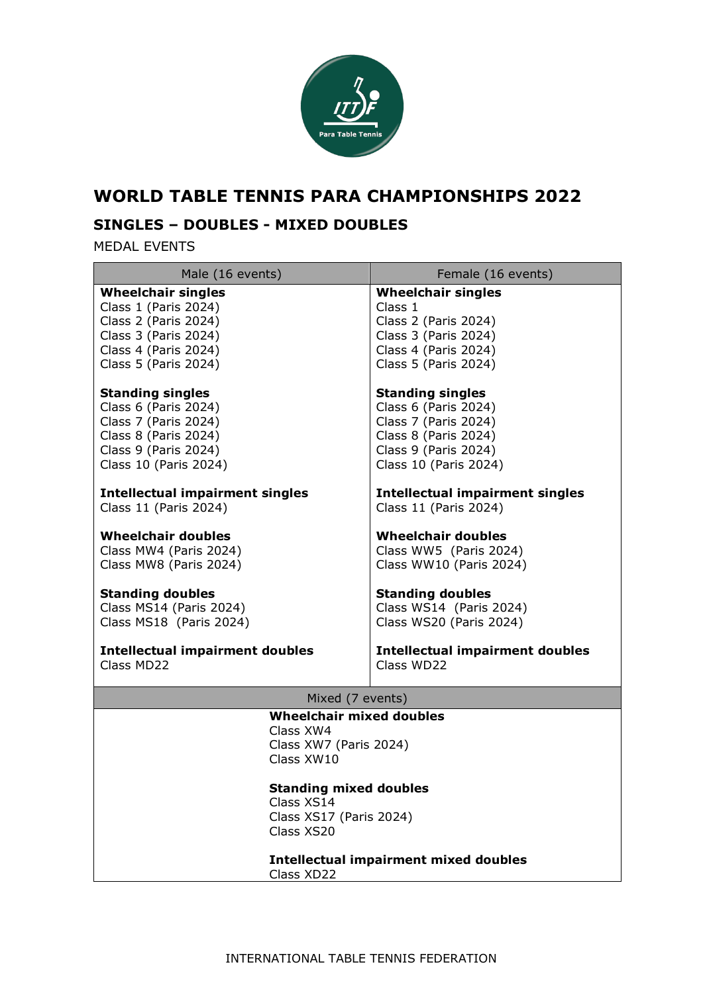

# **WORLD TABLE TENNIS PARA CHAMPIONSHIPS 2022**

## **SINGLES – DOUBLES - MIXED DOUBLES**

MEDAL EVENTS

| Male (16 events)                                                                                                                                                             | Female (16 events)                           |
|------------------------------------------------------------------------------------------------------------------------------------------------------------------------------|----------------------------------------------|
| <b>Wheelchair singles</b>                                                                                                                                                    | <b>Wheelchair singles</b>                    |
| Class 1 (Paris 2024)                                                                                                                                                         | Class 1                                      |
| Class 2 (Paris 2024)                                                                                                                                                         | Class 2 (Paris 2024)                         |
| Class 3 (Paris 2024)                                                                                                                                                         | Class 3 (Paris 2024)                         |
| Class 4 (Paris 2024)                                                                                                                                                         | Class 4 (Paris 2024)                         |
| Class 5 (Paris 2024)                                                                                                                                                         | Class 5 (Paris 2024)                         |
| <b>Standing singles</b>                                                                                                                                                      | <b>Standing singles</b>                      |
| Class 6 (Paris 2024)                                                                                                                                                         | Class 6 (Paris 2024)                         |
| Class 7 (Paris 2024)                                                                                                                                                         | Class 7 (Paris 2024)                         |
| Class 8 (Paris 2024)                                                                                                                                                         | Class 8 (Paris 2024)                         |
| Class 9 (Paris 2024)                                                                                                                                                         | Class 9 (Paris 2024)                         |
| Class 10 (Paris 2024)                                                                                                                                                        | Class 10 (Paris 2024)                        |
| <b>Intellectual impairment singles</b>                                                                                                                                       | <b>Intellectual impairment singles</b>       |
| Class 11 (Paris 2024)                                                                                                                                                        | Class 11 (Paris 2024)                        |
| <b>Wheelchair doubles</b>                                                                                                                                                    | <b>Wheelchair doubles</b>                    |
| Class MW4 (Paris 2024)                                                                                                                                                       | Class WW5 (Paris 2024)                       |
| Class MW8 (Paris 2024)                                                                                                                                                       | Class WW10 (Paris 2024)                      |
| <b>Standing doubles</b>                                                                                                                                                      | <b>Standing doubles</b>                      |
| Class MS14 (Paris 2024)                                                                                                                                                      | Class WS14 (Paris 2024)                      |
| Class MS18 (Paris 2024)                                                                                                                                                      | Class WS20 (Paris 2024)                      |
| <b>Intellectual impairment doubles</b>                                                                                                                                       | <b>Intellectual impairment doubles</b>       |
| Class MD22                                                                                                                                                                   | Class WD22                                   |
| Mixed (7 events)                                                                                                                                                             |                                              |
| <b>Wheelchair mixed doubles</b><br>Class XW4<br>Class XW7 (Paris 2024)<br>Class XW10<br><b>Standing mixed doubles</b><br>Class XS14<br>Class XS17 (Paris 2024)<br>Class XS20 | <b>Intellectual impairment mixed doubles</b> |

Class XD22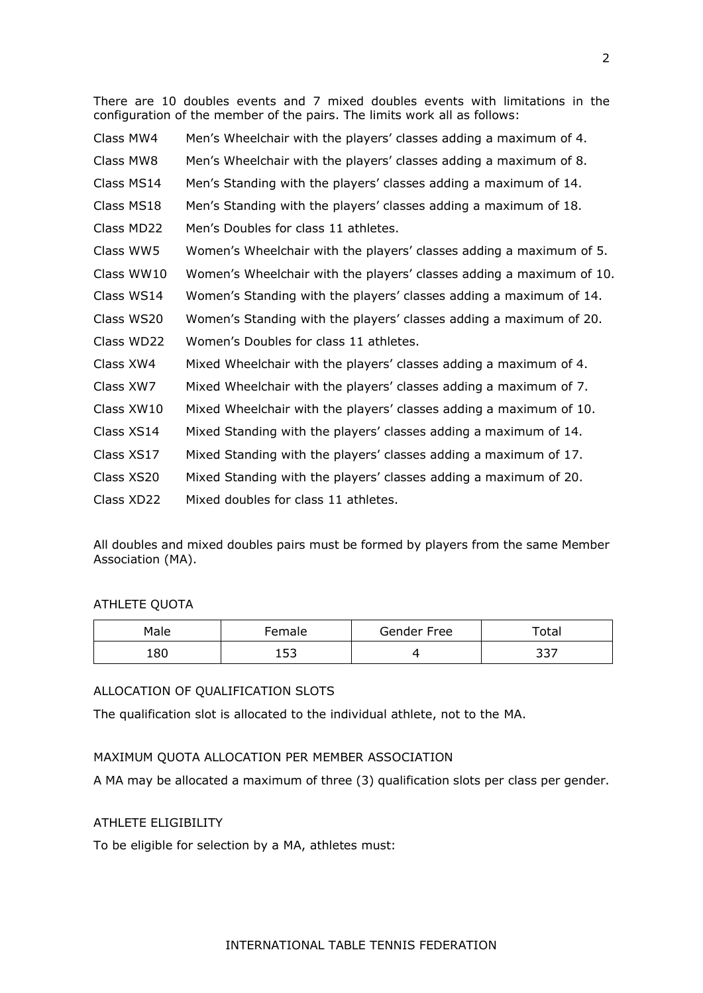There are 10 doubles events and 7 mixed doubles events with limitations in the configuration of the member of the pairs. The limits work all as follows:

| Class MW4  | Men's Wheelchair with the players' classes adding a maximum of 4.    |
|------------|----------------------------------------------------------------------|
| Class MW8  | Men's Wheelchair with the players' classes adding a maximum of 8.    |
| Class MS14 | Men's Standing with the players' classes adding a maximum of 14.     |
| Class MS18 | Men's Standing with the players' classes adding a maximum of 18.     |
| Class MD22 | Men's Doubles for class 11 athletes.                                 |
| Class WW5  | Women's Wheelchair with the players' classes adding a maximum of 5.  |
| Class WW10 | Women's Wheelchair with the players' classes adding a maximum of 10. |
| Class WS14 | Women's Standing with the players' classes adding a maximum of 14.   |
| Class WS20 | Women's Standing with the players' classes adding a maximum of 20.   |
| Class WD22 | Women's Doubles for class 11 athletes.                               |
| Class XW4  | Mixed Wheelchair with the players' classes adding a maximum of 4.    |
| Class XW7  | Mixed Wheelchair with the players' classes adding a maximum of 7.    |
| Class XW10 | Mixed Wheelchair with the players' classes adding a maximum of 10.   |
| Class XS14 | Mixed Standing with the players' classes adding a maximum of 14.     |
| Class XS17 | Mixed Standing with the players' classes adding a maximum of 17.     |
| Class XS20 | Mixed Standing with the players' classes adding a maximum of 20.     |
| Class XD22 | Mixed doubles for class 11 athletes.                                 |

All doubles and mixed doubles pairs must be formed by players from the same Member Association (MA).

#### ATHLETE QUOTA

| Male | Female    | Gender Free | Total |
|------|-----------|-------------|-------|
| 180  | につ<br>⊥◡◡ |             | つつフ   |

## ALLOCATION OF QUALIFICATION SLOTS

The qualification slot is allocated to the individual athlete, not to the MA.

### MAXIMUM QUOTA ALLOCATION PER MEMBER ASSOCIATION

A MA may be allocated a maximum of three (3) qualification slots per class per gender.

## ATHLETE ELIGIBILITY

To be eligible for selection by a MA, athletes must:

#### INTERNATIONAL TABLE TENNIS FEDERATION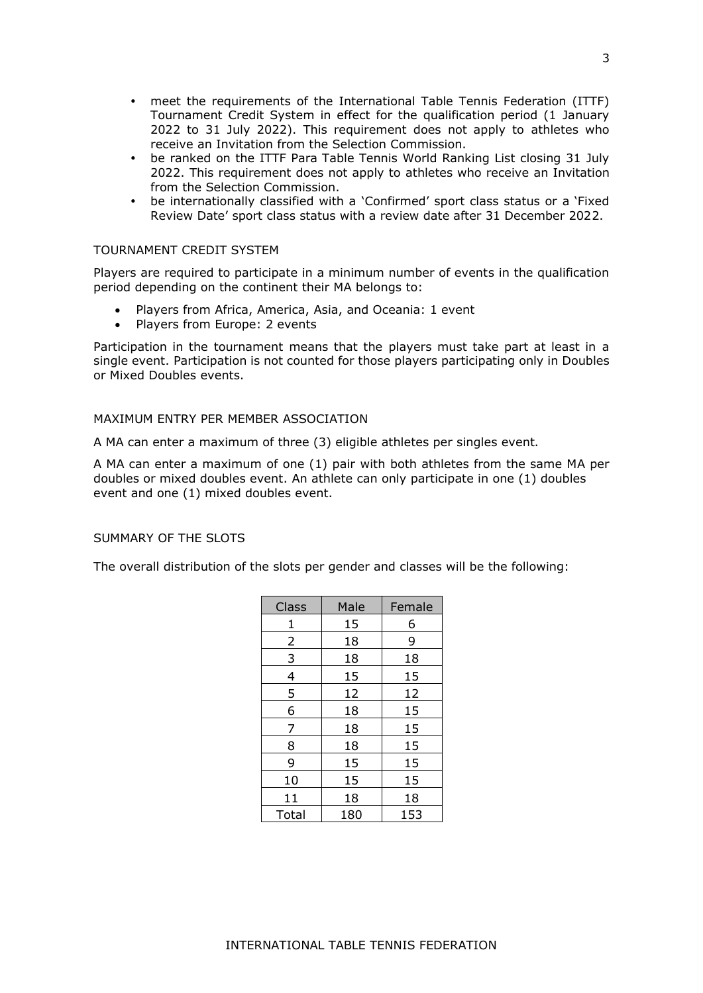- meet the requirements of the International Table Tennis Federation (ITTF) Tournament Credit System in effect for the qualification period (1 January 2022 to 31 July 2022). This requirement does not apply to athletes who receive an Invitation from the Selection Commission.
- be ranked on the ITTF Para Table Tennis World Ranking List closing 31 July 2022. This requirement does not apply to athletes who receive an Invitation from the Selection Commission.
- be internationally classified with a 'Confirmed' sport class status or a 'Fixed Review Date' sport class status with a review date after 31 December 2022.

#### TOURNAMENT CREDIT SYSTEM

Players are required to participate in a minimum number of events in the qualification period depending on the continent their MA belongs to:

- Players from Africa, America, Asia, and Oceania: 1 event
- Players from Europe: 2 events

Participation in the tournament means that the players must take part at least in a single event. Participation is not counted for those players participating only in Doubles or Mixed Doubles events.

#### MAXIMUM ENTRY PER MEMBER ASSOCIATION

A MA can enter a maximum of three (3) eligible athletes per singles event.

A MA can enter a maximum of one (1) pair with both athletes from the same MA per doubles or mixed doubles event. An athlete can only participate in one (1) doubles event and one (1) mixed doubles event.

#### SUMMARY OF THE SLOTS

The overall distribution of the slots per gender and classes will be the following:

| Class | Male | Female |
|-------|------|--------|
| 1     | 15   | 6      |
| 2     | 18   | 9      |
| 3     | 18   | 18     |
| 4     | 15   | 15     |
| 5     | 12   | 12     |
| 6     | 18   | 15     |
| 7     | 18   | 15     |
| 8     | 18   | 15     |
| 9     | 15   | 15     |
| 10    | 15   | 15     |
| 11    | 18   | 18     |
| Total | 180  | 153    |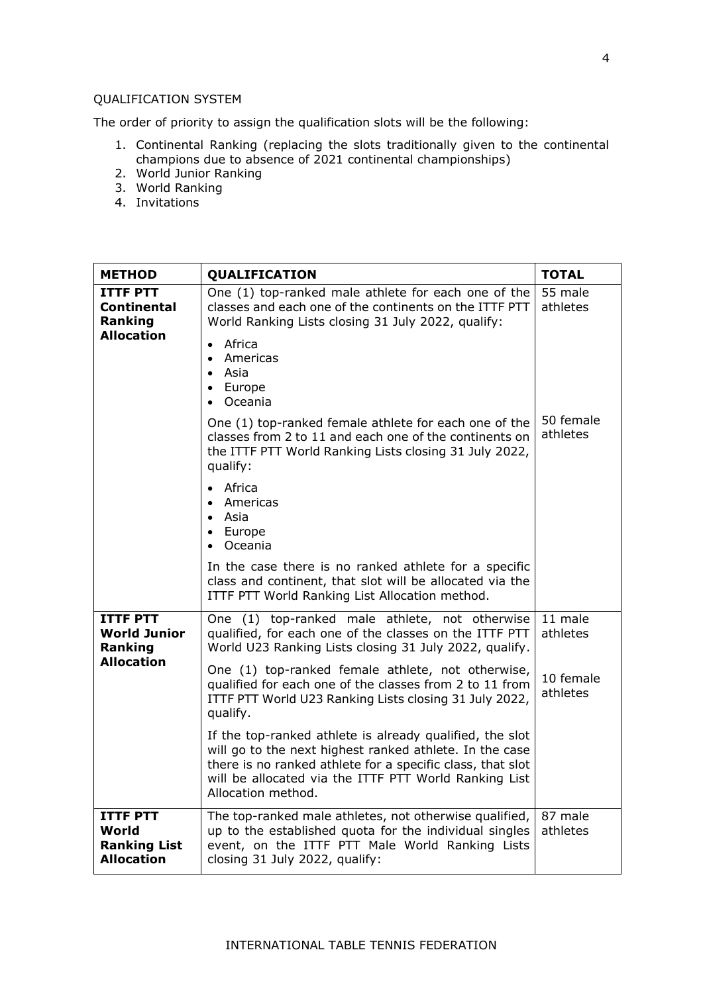#### QUALIFICATION SYSTEM

The order of priority to assign the qualification slots will be the following:

- 1. Continental Ranking (replacing the slots traditionally given to the continental champions due to absence of 2021 continental championships)
- 2. World Junior Ranking
- 3. World Ranking
- 4. Invitations

| <b>METHOD</b>                                                        | QUALIFICATION                                                                                                                                                                                                                                                    | <b>TOTAL</b>          |
|----------------------------------------------------------------------|------------------------------------------------------------------------------------------------------------------------------------------------------------------------------------------------------------------------------------------------------------------|-----------------------|
| <b>ITTF PTT</b><br>Continental<br>Ranking                            | One (1) top-ranked male athlete for each one of the<br>classes and each one of the continents on the ITTF PTT<br>World Ranking Lists closing 31 July 2022, qualify:                                                                                              | 55 male<br>athletes   |
| <b>Allocation</b>                                                    | Africa<br>$\bullet$<br>Americas<br>$\bullet$<br>Asia<br>• Europe<br>• Oceania                                                                                                                                                                                    |                       |
|                                                                      | One (1) top-ranked female athlete for each one of the<br>classes from 2 to 11 and each one of the continents on<br>the ITTF PTT World Ranking Lists closing 31 July 2022,<br>qualify:                                                                            | 50 female<br>athletes |
|                                                                      | $\bullet$ Africa<br>• Americas<br>• Asia<br>Europe<br>$\bullet$<br>Oceania                                                                                                                                                                                       |                       |
|                                                                      | In the case there is no ranked athlete for a specific<br>class and continent, that slot will be allocated via the<br>ITTF PTT World Ranking List Allocation method.                                                                                              |                       |
| <b>ITTF PTT</b><br><b>World Junior</b><br>Ranking                    | One (1) top-ranked male athlete, not otherwise<br>qualified, for each one of the classes on the ITTF PTT<br>World U23 Ranking Lists closing 31 July 2022, qualify.                                                                                               | 11 male<br>athletes   |
| <b>Allocation</b>                                                    | One (1) top-ranked female athlete, not otherwise,<br>qualified for each one of the classes from 2 to 11 from<br>ITTF PTT World U23 Ranking Lists closing 31 July 2022,<br>qualify.                                                                               | 10 female<br>athletes |
|                                                                      | If the top-ranked athlete is already qualified, the slot<br>will go to the next highest ranked athlete. In the case<br>there is no ranked athlete for a specific class, that slot<br>will be allocated via the ITTF PTT World Ranking List<br>Allocation method. |                       |
| <b>ITTF PTT</b><br>World<br><b>Ranking List</b><br><b>Allocation</b> | The top-ranked male athletes, not otherwise qualified,<br>up to the established quota for the individual singles<br>event, on the ITTF PTT Male World Ranking Lists<br>closing 31 July 2022, qualify:                                                            | 87 male<br>athletes   |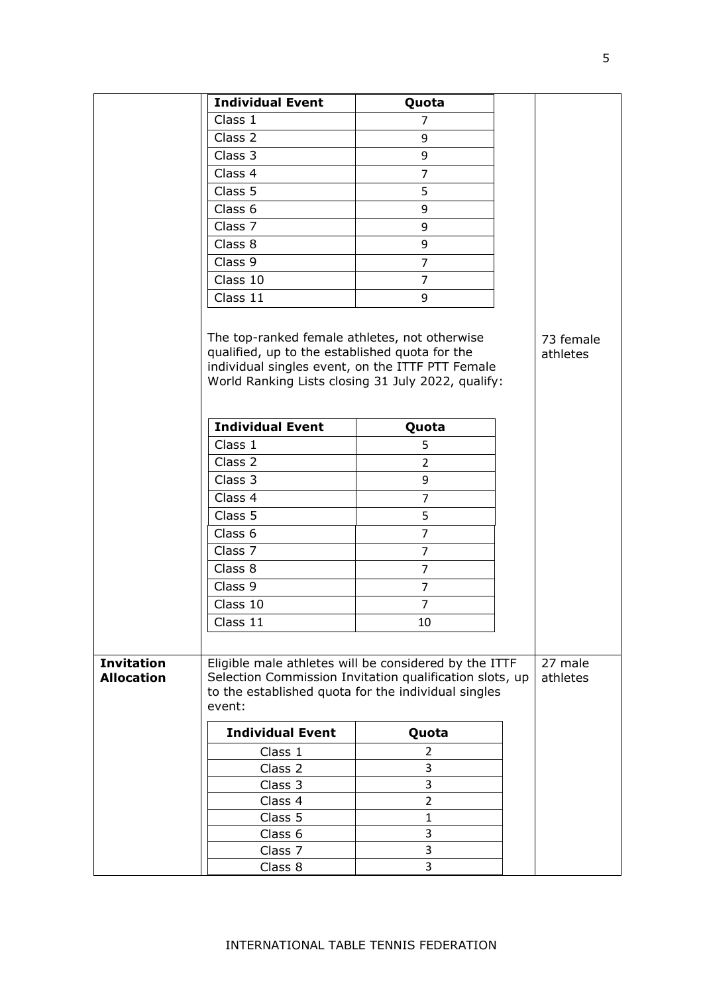|                                        | <b>Individual Event</b>                                                                                                                             | Quota                                                                                                                                                                   |                       |
|----------------------------------------|-----------------------------------------------------------------------------------------------------------------------------------------------------|-------------------------------------------------------------------------------------------------------------------------------------------------------------------------|-----------------------|
|                                        | Class 1                                                                                                                                             | $\overline{7}$                                                                                                                                                          |                       |
|                                        | Class 2                                                                                                                                             | 9                                                                                                                                                                       |                       |
|                                        | Class 3                                                                                                                                             | 9                                                                                                                                                                       |                       |
|                                        | Class 4                                                                                                                                             | $\overline{7}$                                                                                                                                                          |                       |
|                                        | Class 5                                                                                                                                             | 5                                                                                                                                                                       |                       |
|                                        | Class 6                                                                                                                                             | 9                                                                                                                                                                       |                       |
|                                        | Class 7                                                                                                                                             | 9                                                                                                                                                                       |                       |
|                                        | Class 8                                                                                                                                             | 9                                                                                                                                                                       |                       |
|                                        | Class 9                                                                                                                                             | $\overline{7}$                                                                                                                                                          |                       |
|                                        | Class 10                                                                                                                                            | $\overline{7}$                                                                                                                                                          |                       |
|                                        | Class 11                                                                                                                                            | 9                                                                                                                                                                       |                       |
|                                        | The top-ranked female athletes, not otherwise<br>qualified, up to the established quota for the<br>individual singles event, on the ITTF PTT Female | World Ranking Lists closing 31 July 2022, qualify:                                                                                                                      | 73 female<br>athletes |
|                                        | <b>Individual Event</b>                                                                                                                             | Quota                                                                                                                                                                   |                       |
|                                        | Class 1                                                                                                                                             | 5                                                                                                                                                                       |                       |
|                                        | Class 2                                                                                                                                             | $\overline{2}$                                                                                                                                                          |                       |
|                                        | Class 3                                                                                                                                             | 9                                                                                                                                                                       |                       |
|                                        | Class 4                                                                                                                                             | $\overline{7}$                                                                                                                                                          |                       |
|                                        | Class 5                                                                                                                                             | 5                                                                                                                                                                       |                       |
|                                        | Class 6                                                                                                                                             | $\overline{7}$                                                                                                                                                          |                       |
|                                        | Class 7                                                                                                                                             | $\overline{7}$                                                                                                                                                          |                       |
|                                        | Class 8                                                                                                                                             | $\overline{7}$                                                                                                                                                          |                       |
|                                        | Class 9                                                                                                                                             | $\overline{7}$                                                                                                                                                          |                       |
|                                        | Class 10                                                                                                                                            | $\overline{7}$                                                                                                                                                          |                       |
|                                        | Class 11                                                                                                                                            | 10                                                                                                                                                                      |                       |
|                                        |                                                                                                                                                     |                                                                                                                                                                         |                       |
| <b>Invitation</b><br><b>Allocation</b> | event:                                                                                                                                              | Eligible male athletes will be considered by the ITTF<br>Selection Commission Invitation qualification slots, up<br>to the established quota for the individual singles | 27 male<br>athletes   |
|                                        | <b>Individual Event</b>                                                                                                                             | Quota                                                                                                                                                                   |                       |
|                                        | Class 1                                                                                                                                             | 2                                                                                                                                                                       |                       |
|                                        | Class 2                                                                                                                                             | 3                                                                                                                                                                       |                       |
|                                        | Class 3                                                                                                                                             | 3                                                                                                                                                                       |                       |
|                                        | Class 4                                                                                                                                             | $\overline{2}$                                                                                                                                                          |                       |
|                                        | Class 5                                                                                                                                             | $\mathbf{1}$                                                                                                                                                            |                       |
|                                        | Class 6                                                                                                                                             | 3                                                                                                                                                                       |                       |
|                                        | Class 7                                                                                                                                             | 3                                                                                                                                                                       |                       |
|                                        | Class 8                                                                                                                                             | 3                                                                                                                                                                       |                       |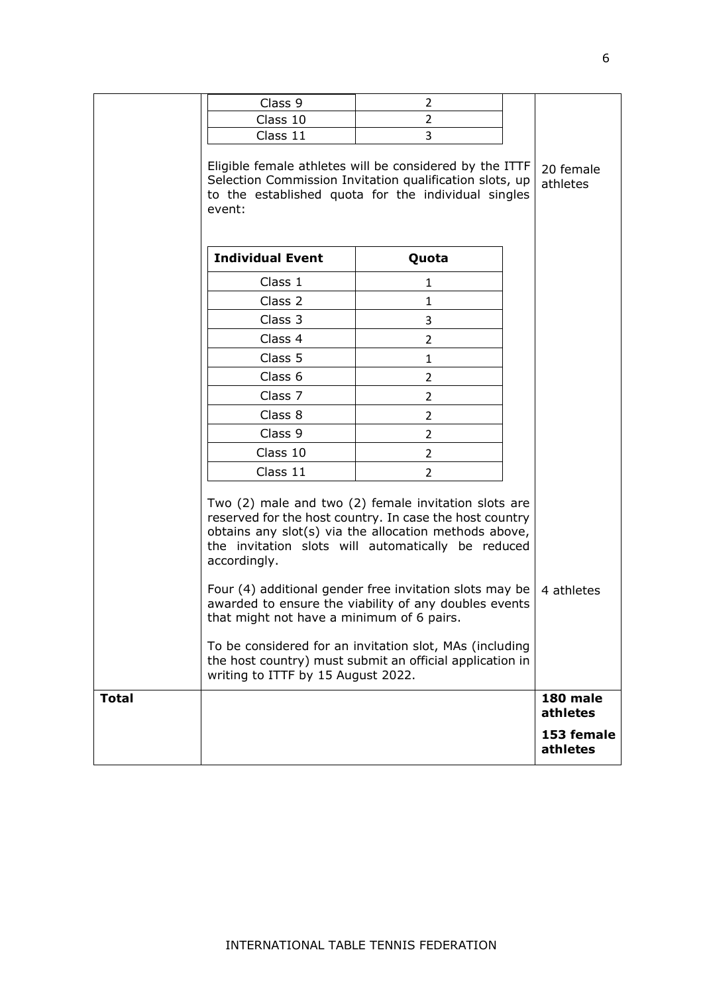|              | Class 9                                                                                                                                                                                                                                                                                                                                                                                                                                                                                                                                                                      | 2              |                       |                        |
|--------------|------------------------------------------------------------------------------------------------------------------------------------------------------------------------------------------------------------------------------------------------------------------------------------------------------------------------------------------------------------------------------------------------------------------------------------------------------------------------------------------------------------------------------------------------------------------------------|----------------|-----------------------|------------------------|
|              | Class 10                                                                                                                                                                                                                                                                                                                                                                                                                                                                                                                                                                     | 2              |                       |                        |
|              | Class 11                                                                                                                                                                                                                                                                                                                                                                                                                                                                                                                                                                     | 3              |                       |                        |
|              | Eligible female athletes will be considered by the ITTF<br>Selection Commission Invitation qualification slots, up<br>to the established quota for the individual singles<br>event:                                                                                                                                                                                                                                                                                                                                                                                          |                | 20 female<br>athletes |                        |
|              | <b>Individual Event</b>                                                                                                                                                                                                                                                                                                                                                                                                                                                                                                                                                      | Quota          |                       |                        |
|              | Class 1                                                                                                                                                                                                                                                                                                                                                                                                                                                                                                                                                                      | 1              |                       |                        |
|              | Class 2                                                                                                                                                                                                                                                                                                                                                                                                                                                                                                                                                                      | 1              |                       |                        |
|              | Class 3                                                                                                                                                                                                                                                                                                                                                                                                                                                                                                                                                                      | 3              |                       |                        |
|              | Class 4                                                                                                                                                                                                                                                                                                                                                                                                                                                                                                                                                                      | $\overline{2}$ |                       |                        |
|              | Class 5                                                                                                                                                                                                                                                                                                                                                                                                                                                                                                                                                                      | 1              |                       |                        |
|              | Class 6                                                                                                                                                                                                                                                                                                                                                                                                                                                                                                                                                                      | $\overline{2}$ |                       |                        |
|              | Class 7                                                                                                                                                                                                                                                                                                                                                                                                                                                                                                                                                                      | $\overline{2}$ |                       |                        |
|              | Class 8                                                                                                                                                                                                                                                                                                                                                                                                                                                                                                                                                                      | 2              |                       |                        |
|              | Class 9                                                                                                                                                                                                                                                                                                                                                                                                                                                                                                                                                                      | 2              |                       |                        |
|              | Class 10                                                                                                                                                                                                                                                                                                                                                                                                                                                                                                                                                                     | $\overline{2}$ |                       |                        |
|              | Class 11                                                                                                                                                                                                                                                                                                                                                                                                                                                                                                                                                                     | 2              |                       |                        |
|              | Two (2) male and two (2) female invitation slots are<br>reserved for the host country. In case the host country<br>obtains any slot(s) via the allocation methods above,<br>the invitation slots will automatically be reduced<br>accordingly.<br>Four (4) additional gender free invitation slots may be<br>awarded to ensure the viability of any doubles events<br>that might not have a minimum of 6 pairs.<br>To be considered for an invitation slot, MAs (including<br>the host country) must submit an official application in<br>writing to ITTF by 15 August 2022. |                |                       | 4 athletes             |
| <b>Total</b> |                                                                                                                                                                                                                                                                                                                                                                                                                                                                                                                                                                              |                |                       | 180 male<br>athletes   |
|              |                                                                                                                                                                                                                                                                                                                                                                                                                                                                                                                                                                              |                |                       | 153 female<br>athletes |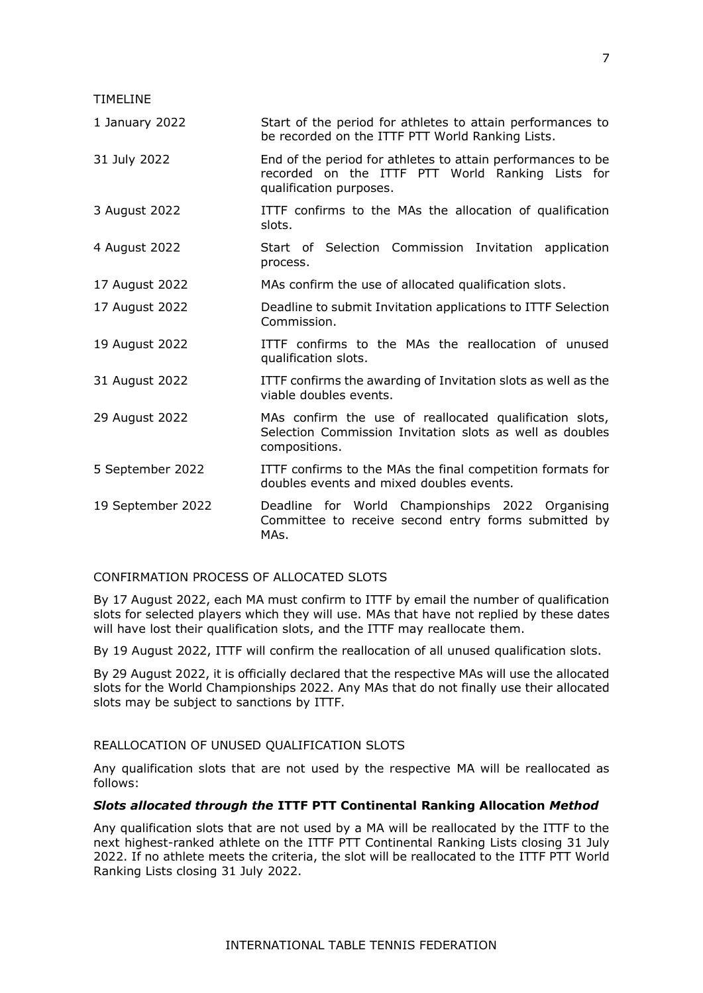TIMELINE

| 1 January 2022    | Start of the period for athletes to attain performances to<br>be recorded on the ITTF PTT World Ranking Lists.                             |
|-------------------|--------------------------------------------------------------------------------------------------------------------------------------------|
| 31 July 2022      | End of the period for athletes to attain performances to be<br>recorded on the ITTF PTT World Ranking Lists for<br>qualification purposes. |
| 3 August 2022     | ITTF confirms to the MAs the allocation of qualification<br>slots.                                                                         |
| 4 August 2022     | Start of Selection Commission Invitation application<br>process.                                                                           |
| 17 August 2022    | MAs confirm the use of allocated qualification slots.                                                                                      |
| 17 August 2022    | Deadline to submit Invitation applications to ITTF Selection<br>Commission.                                                                |
| 19 August 2022    | ITTF confirms to the MAs the reallocation of unused<br>qualification slots.                                                                |
| 31 August 2022    | ITTF confirms the awarding of Invitation slots as well as the<br>viable doubles events.                                                    |
| 29 August 2022    | MAs confirm the use of reallocated qualification slots,<br>Selection Commission Invitation slots as well as doubles<br>compositions.       |
| 5 September 2022  | ITTF confirms to the MAs the final competition formats for<br>doubles events and mixed doubles events.                                     |
| 19 September 2022 | Deadline for World Championships 2022 Organising<br>Committee to receive second entry forms submitted by<br>MAs.                           |
|                   |                                                                                                                                            |

#### CONFIRMATION PROCESS OF ALLOCATED SLOTS

By 17 August 2022, each MA must confirm to ITTF by email the number of qualification slots for selected players which they will use. MAs that have not replied by these dates will have lost their qualification slots, and the ITTF may reallocate them.

By 19 August 2022, ITTF will confirm the reallocation of all unused qualification slots.

By 29 August 2022, it is officially declared that the respective MAs will use the allocated slots for the World Championships 2022. Any MAs that do not finally use their allocated slots may be subject to sanctions by ITTF.

## REALLOCATION OF UNUSED QUALIFICATION SLOTS

Any qualification slots that are not used by the respective MA will be reallocated as follows:

## *Slots allocated through the* **ITTF PTT Continental Ranking Allocation** *Method*

Any qualification slots that are not used by a MA will be reallocated by the ITTF to the next highest-ranked athlete on the ITTF PTT Continental Ranking Lists closing 31 July 2022. If no athlete meets the criteria, the slot will be reallocated to the ITTF PTT World Ranking Lists closing 31 July 2022.